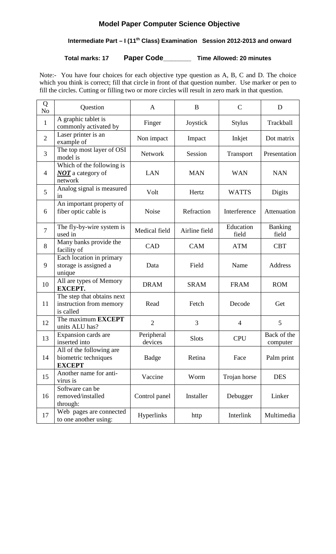# **Model Paper Computer Science Objective**

# **Intermediate Part – I (11th Class) Examination Session 2012-2013 and onward**

**Total marks: 17 Paper Code\_\_\_\_\_\_\_ Time Allowed: 20 minutes**

Note:- You have four choices for each objective type question as A, B, C and D. The choice which you think is correct; fill that circle in front of that question number. Use marker or pen to fill the circles. Cutting or filling two or more circles will result in zero mark in that question.

| Q<br>N <sub>o</sub> | Question                                                           | $\mathbf{A}$          | $\bf{B}$      | $\mathsf{C}$       | D                       |
|---------------------|--------------------------------------------------------------------|-----------------------|---------------|--------------------|-------------------------|
| $\mathbf{1}$        | A graphic tablet is<br>commonly activated by                       | Finger                | Joystick      | <b>Stylus</b>      | Trackball               |
| $\overline{2}$      | Laser printer is an<br>example of                                  | Non impact            | Impact        | Inkjet             | Dot matrix              |
| 3                   | The top most layer of OSI<br>model is                              | <b>Network</b>        | Session       | Transport          | Presentation            |
| $\overline{4}$      | Which of the following is<br><b>NOT</b> a category of<br>network   | <b>LAN</b>            | <b>MAN</b>    | <b>WAN</b>         | <b>NAN</b>              |
| 5                   | Analog signal is measured<br>in                                    | Volt                  | Hertz         | <b>WATTS</b>       | Digits                  |
| 6                   | An important property of<br>fiber optic cable is                   | <b>Noise</b>          | Refraction    | Interference       | Attenuation             |
| $\overline{7}$      | The fly-by-wire system is<br>used in                               | Medical field         | Airline field | Education<br>field | <b>Banking</b><br>field |
| 8                   | Many banks provide the<br>facility of                              | CAD                   | <b>CAM</b>    | <b>ATM</b>         | <b>CBT</b>              |
| 9                   | Each location in primary<br>storage is assigned a<br>unique        | Data                  | Field         | Name               | Address                 |
| 10                  | All are types of Memory<br><b>EXCEPT.</b>                          | <b>DRAM</b>           | <b>SRAM</b>   | <b>FRAM</b>        | <b>ROM</b>              |
| 11                  | The step that obtains next<br>instruction from memory<br>is called | Read                  | Fetch         | Decode             | Get                     |
| 12                  | The maximum <b>EXCEPT</b><br>units ALU has?                        | $\overline{2}$        | 3             | $\overline{4}$     | 5                       |
| 13                  | Expansion cards are<br>inserted into                               | Peripheral<br>devices | <b>Slots</b>  | <b>CPU</b>         | Back of the<br>computer |
| 14                  | All of the following are<br>biometric techniques<br><b>EXCEPT</b>  | Badge                 | Retina        | Face               | Palm print              |
| 15                  | Another name for anti-<br>virus is                                 | Vaccine               | Worm          | Trojan horse       | <b>DES</b>              |
| 16                  | Software can be<br>removed/installed<br>through:                   | Control panel         | Installer     | Debugger           | Linker                  |
| 17                  | Web pages are connected<br>to one another using:                   | Hyperlinks            | http          | Interlink          | Multimedia              |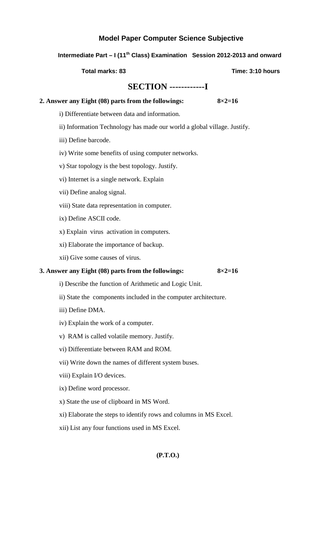### **Model Paper Computer Science Subjective**

## **Intermediate Part – I (11th Class) Examination Session 2012-2013 and onward**

**Total marks: 83** Total marks: 83

## **SECTION ------------I**

#### **2. Answer any Eight (08) parts from the followings: 8×2=16**

- i) Differentiate between data and information.
- ii) Information Technology has made our world a global village. Justify.
- iii) Define barcode.
- iv) Write some benefits of using computer networks.
- v) Star topology is the best topology. Justify.
- vi) Internet is a single network. Explain
- vii) Define analog signal.
- viii) State data representation in computer.
- ix) Define ASCII code.
- x) Explain virus activation in computers.
- xi) Elaborate the importance of backup.
- xii) Give some causes of virus.

#### **3. Answer any Eight (08) parts from the followings: 8×2=16**

i) Describe the function of Arithmetic and Logic Unit.

- ii) State the components included in the computer architecture.
- iii) Define DMA.
- iv) Explain the work of a computer.
- v) RAM is called volatile memory. Justify.
- vi) Differentiate between RAM and ROM.
- vii) Write down the names of different system buses.
- viii) Explain I/O devices.
- ix) Define word processor.
- x) State the use of clipboard in MS Word.
- xi) Elaborate the steps to identify rows and columns in MS Excel.
- xii) List any four functions used in MS Excel.

#### **(P.T.O.)**